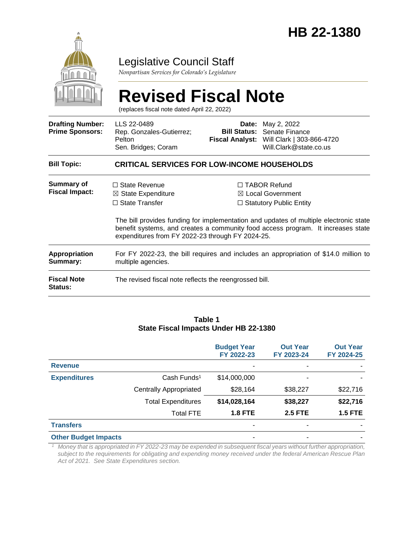

## Legislative Council Staff

*Nonpartisan Services for Colorado's Legislature*

|                                                   | <b>Revised Fiscal Note</b><br>(replaces fiscal note dated April 22, 2022)                                                          |  |                                                                                                                                                                                                                                                               |  |  |
|---------------------------------------------------|------------------------------------------------------------------------------------------------------------------------------------|--|---------------------------------------------------------------------------------------------------------------------------------------------------------------------------------------------------------------------------------------------------------------|--|--|
| <b>Drafting Number:</b><br><b>Prime Sponsors:</b> | LLS 22-0489<br>Rep. Gonzales-Gutierrez;<br>Pelton<br>Sen. Bridges; Coram                                                           |  | <b>Date:</b> May 2, 2022<br><b>Bill Status:</b> Senate Finance<br>Fiscal Analyst: Will Clark   303-866-4720<br>Will.Clark@state.co.us                                                                                                                         |  |  |
| <b>Bill Topic:</b>                                | <b>CRITICAL SERVICES FOR LOW-INCOME HOUSEHOLDS</b>                                                                                 |  |                                                                                                                                                                                                                                                               |  |  |
| Summary of<br><b>Fiscal Impact:</b>               | $\Box$ State Revenue<br>$\boxtimes$ State Expenditure<br>$\Box$ State Transfer<br>expenditures from FY 2022-23 through FY 2024-25. |  | □ TABOR Refund<br>$\boxtimes$ Local Government<br>$\Box$ Statutory Public Entity<br>The bill provides funding for implementation and updates of multiple electronic state<br>benefit systems, and creates a community food access program. It increases state |  |  |
| Appropriation<br>Summary:                         | For FY 2022-23, the bill requires and includes an appropriation of \$14.0 million to<br>multiple agencies.                         |  |                                                                                                                                                                                                                                                               |  |  |
| <b>Fiscal Note</b><br><b>Status:</b>              | The revised fiscal note reflects the reengrossed bill.                                                                             |  |                                                                                                                                                                                                                                                               |  |  |

#### **Table 1 State Fiscal Impacts Under HB 22-1380**

|                                                       |                               | <b>Budget Year</b><br>FY 2022-23   | <b>Out Year</b><br>FY 2023-24 | <b>Out Year</b><br>FY 2024-25 |
|-------------------------------------------------------|-------------------------------|------------------------------------|-------------------------------|-------------------------------|
| <b>Revenue</b>                                        |                               | ۰                                  |                               |                               |
| <b>Expenditures</b>                                   | Cash Funds <sup>1</sup>       | \$14,000,000                       |                               |                               |
|                                                       | <b>Centrally Appropriated</b> | \$28,164                           | \$38,227                      | \$22,716                      |
|                                                       | <b>Total Expenditures</b>     | \$14,028,164                       | \$38,227                      | \$22,716                      |
|                                                       | <b>Total FTE</b>              | <b>1.8 FTE</b>                     | <b>2.5 FTE</b>                | <b>1.5 FTE</b>                |
| <b>Transfers</b>                                      |                               |                                    |                               |                               |
| <b>Other Budget Impacts</b>                           |                               | ٠                                  |                               |                               |
| $\mathcal{A}$ and the set of the set of $\mathcal{A}$ |                               | $\cdots$<br>$ -$<br>$\overline{z}$ | $\cdots$                      | $\cdots$                      |

*<sup>1</sup> Money that is appropriated in FY 2022-23 may be expended in subsequent fiscal years without further appropriation, subject to the requirements for obligating and expending money received under the federal American Rescue Plan Act of 2021. See State Expenditures section.*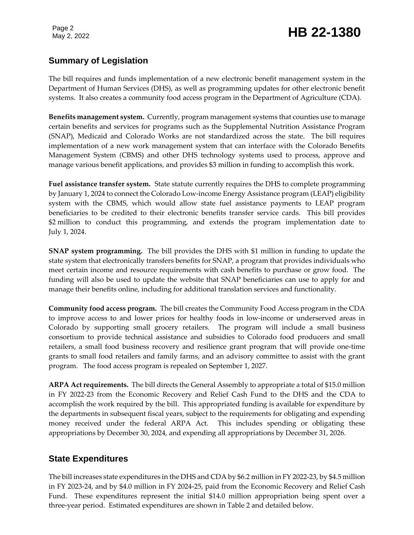## Page 2<br>May 2, 2022 **HB 22-1380**

## **Summary of Legislation**

The bill requires and funds implementation of a new electronic benefit management system in the Department of Human Services (DHS), as well as programming updates for other electronic benefit systems. It also creates a community food access program in the Department of Agriculture (CDA).

**Benefits management system.** Currently, program management systems that counties use to manage certain benefits and services for programs such as the Supplemental Nutrition Assistance Program (SNAP), Medicaid and Colorado Works are not standardized across the state. The bill requires implementation of a new work management system that can interface with the Colorado Benefits Management System (CBMS) and other DHS technology systems used to process, approve and manage various benefit applications, and provides \$3 million in funding to accomplish this work.

**Fuel assistance transfer system.** State statute currently requires the DHS to complete programming by January 1, 2024 to connect the Colorado Low-income Energy Assistance program (LEAP) eligibility system with the CBMS, which would allow state fuel assistance payments to LEAP program beneficiaries to be credited to their electronic benefits transfer service cards. This bill provides \$2 million to conduct this programming, and extends the program implementation date to July 1, 2024.

**SNAP system programming.** The bill provides the DHS with \$1 million in funding to update the state system that electronically transfers benefits for SNAP, a program that provides individuals who meet certain income and resource requirements with cash benefits to purchase or grow food. The funding will also be used to update the website that SNAP beneficiaries can use to apply for and manage their benefits online, including for additional translation services and functionality.

**Community food access program.** The bill creates the Community Food Access program in the CDA to improve access to and lower prices for healthy foods in low-income or underserved areas in Colorado by supporting small grocery retailers. The program will include a small business consortium to provide technical assistance and subsidies to Colorado food producers and small retailers, a small food business recovery and resilience grant program that will provide one-time grants to small food retailers and family farms, and an advisory committee to assist with the grant program. The food access program is repealed on September 1, 2027.

**ARPA Act requirements.** The bill directs the General Assembly to appropriate a total of \$15.0 million in FY 2022-23 from the Economic Recovery and Relief Cash Fund to the DHS and the CDA to accomplish the work required by the bill. This appropriated funding is available for expenditure by the departments in subsequent fiscal years, subject to the requirements for obligating and expending money received under the federal ARPA Act. This includes spending or obligating these appropriations by December 30, 2024, and expending all appropriations by December 31, 2026.

### **State Expenditures**

The bill increases state expenditures in the DHS and CDA by \$6.2 million in FY 2022-23, by \$4.5 million in FY 2023-24, and by \$4.0 million in FY 2024-25, paid from the Economic Recovery and Relief Cash Fund. These expenditures represent the initial \$14.0 million appropriation being spent over a three-year period. Estimated expenditures are shown in Table 2 and detailed below.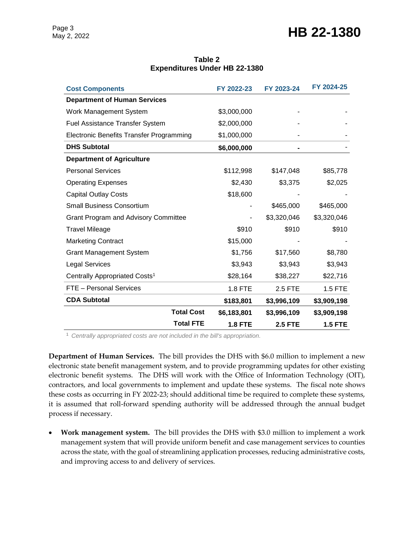## Page 3<br>May 2, 2022 **HB 22-1380**

| <b>Cost Components</b>                          |                   | FY 2022-23     | FY 2023-24     | FY 2024-25     |
|-------------------------------------------------|-------------------|----------------|----------------|----------------|
| <b>Department of Human Services</b>             |                   |                |                |                |
| Work Management System                          |                   | \$3,000,000    |                |                |
| <b>Fuel Assistance Transfer System</b>          |                   | \$2,000,000    |                |                |
| <b>Electronic Benefits Transfer Programming</b> |                   | \$1,000,000    |                |                |
| <b>DHS Subtotal</b>                             |                   | \$6,000,000    |                |                |
| <b>Department of Agriculture</b>                |                   |                |                |                |
| <b>Personal Services</b>                        |                   | \$112,998      | \$147,048      | \$85,778       |
| <b>Operating Expenses</b>                       |                   | \$2,430        | \$3,375        | \$2,025        |
| <b>Capital Outlay Costs</b>                     |                   | \$18,600       |                |                |
| <b>Small Business Consortium</b>                |                   |                | \$465,000      | \$465,000      |
| Grant Program and Advisory Committee            |                   |                | \$3,320,046    | \$3,320,046    |
| <b>Travel Mileage</b>                           |                   | \$910          | \$910          | \$910          |
| <b>Marketing Contract</b>                       |                   | \$15,000       |                |                |
| <b>Grant Management System</b>                  |                   | \$1,756        | \$17,560       | \$8,780        |
| <b>Legal Services</b>                           |                   | \$3,943        | \$3,943        | \$3,943        |
| Centrally Appropriated Costs <sup>1</sup>       |                   | \$28,164       | \$38,227       | \$22,716       |
| FTE - Personal Services                         |                   | <b>1.8 FTE</b> | 2.5 FTE        | 1.5 FTE        |
| <b>CDA Subtotal</b>                             |                   | \$183,801      | \$3,996,109    | \$3,909,198    |
|                                                 | <b>Total Cost</b> | \$6,183,801    | \$3,996,109    | \$3,909,198    |
|                                                 | <b>Total FTE</b>  | <b>1.8 FTE</b> | <b>2.5 FTE</b> | <b>1.5 FTE</b> |

#### **Table 2 Expenditures Under HB 22-1380**

<sup>1</sup> *Centrally appropriated costs are not included in the bill's appropriation.*

**Department of Human Services.** The bill provides the DHS with \$6.0 million to implement a new electronic state benefit management system, and to provide programming updates for other existing electronic benefit systems. The DHS will work with the Office of Information Technology (OIT), contractors, and local governments to implement and update these systems. The fiscal note shows these costs as occurring in FY 2022-23; should additional time be required to complete these systems, it is assumed that roll-forward spending authority will be addressed through the annual budget process if necessary.

 **Work management system.** The bill provides the DHS with \$3.0 million to implement a work management system that will provide uniform benefit and case management services to counties across the state, with the goal of streamlining application processes, reducing administrative costs, and improving access to and delivery of services.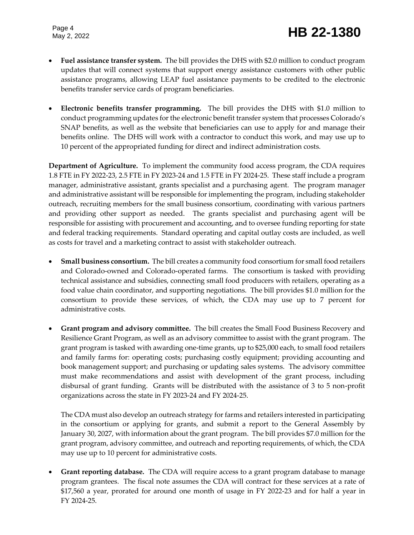Page 4

- **Fuel assistance transfer system.** The bill provides the DHS with \$2.0 million to conduct program updates that will connect systems that support energy assistance customers with other public assistance programs, allowing LEAP fuel assistance payments to be credited to the electronic benefits transfer service cards of program beneficiaries.
- **Electronic benefits transfer programming.** The bill provides the DHS with \$1.0 million to conduct programming updates for the electronic benefit transfer system that processes Colorado's SNAP benefits, as well as the website that beneficiaries can use to apply for and manage their benefits online. The DHS will work with a contractor to conduct this work, and may use up to 10 percent of the appropriated funding for direct and indirect administration costs.

**Department of Agriculture.** To implement the community food access program, the CDA requires 1.8 FTE in FY 2022-23, 2.5 FTE in FY 2023-24 and 1.5 FTE in FY 2024-25. These staff include a program manager, administrative assistant, grants specialist and a purchasing agent. The program manager and administrative assistant will be responsible for implementing the program, including stakeholder outreach, recruiting members for the small business consortium, coordinating with various partners and providing other support as needed. The grants specialist and purchasing agent will be responsible for assisting with procurement and accounting, and to oversee funding reporting for state and federal tracking requirements. Standard operating and capital outlay costs are included, as well as costs for travel and a marketing contract to assist with stakeholder outreach.

- **Small business consortium.** The bill creates a community food consortium for small food retailers and Colorado-owned and Colorado-operated farms. The consortium is tasked with providing technical assistance and subsidies, connecting small food producers with retailers, operating as a food value chain coordinator, and supporting negotiations. The bill provides \$1.0 million for the consortium to provide these services, of which, the CDA may use up to 7 percent for administrative costs.
- **Grant program and advisory committee.** The bill creates the Small Food Business Recovery and Resilience Grant Program, as well as an advisory committee to assist with the grant program. The grant program is tasked with awarding one-time grants, up to \$25,000 each, to small food retailers and family farms for: operating costs; purchasing costly equipment; providing accounting and book management support; and purchasing or updating sales systems. The advisory committee must make recommendations and assist with development of the grant process, including disbursal of grant funding. Grants will be distributed with the assistance of 3 to 5 non-profit organizations across the state in FY 2023-24 and FY 2024-25.

The CDA must also develop an outreach strategy for farms and retailers interested in participating in the consortium or applying for grants, and submit a report to the General Assembly by January 30, 2027, with information about the grant program. The bill provides \$7.0 million for the grant program, advisory committee, and outreach and reporting requirements, of which, the CDA may use up to 10 percent for administrative costs.

 **Grant reporting database.** The CDA will require access to a grant program database to manage program grantees. The fiscal note assumes the CDA will contract for these services at a rate of \$17,560 a year, prorated for around one month of usage in FY 2022-23 and for half a year in FY 2024-25.